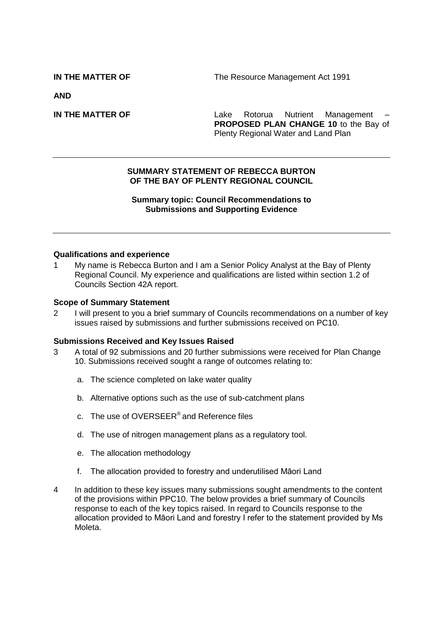**IN THE MATTER OF The Resource Management Act 1991** 

**AND**

**IN THE MATTER OF THE SAMPLE 2008 CONTROLLER AND Lake Rotorua** Nutrient Management **PROPOSED PLAN CHANGE 10** to the Bay of Plenty Regional Water and Land Plan

#### **SUMMARY STATEMENT OF REBECCA BURTON OF THE BAY OF PLENTY REGIONAL COUNCIL**

# **Summary topic: Council Recommendations to Submissions and Supporting Evidence**

#### **Qualifications and experience**

1 My name is Rebecca Burton and I am a Senior Policy Analyst at the Bay of Plenty Regional Council. My experience and qualifications are listed within section 1.2 of Councils Section 42A report.

#### **Scope of Summary Statement**

2 I will present to you a brief summary of Councils recommendations on a number of key issues raised by submissions and further submissions received on PC10.

#### **Submissions Received and Key Issues Raised**

- 3 A total of 92 submissions and 20 further submissions were received for Plan Change 10. Submissions received sought a range of outcomes relating to:
	- a. The science completed on lake water quality
	- b. Alternative options such as the use of sub-catchment plans
	- c. The use of OVERSEER® and Reference files
	- d. The use of nitrogen management plans as a regulatory tool.
	- e. The allocation methodology
	- f. The allocation provided to forestry and underutilised Māori Land
- 4 In addition to these key issues many submissions sought amendments to the content of the provisions within PPC10. The below provides a brief summary of Councils response to each of the key topics raised. In regard to Councils response to the allocation provided to Māori Land and forestry I refer to the statement provided by Ms Moleta.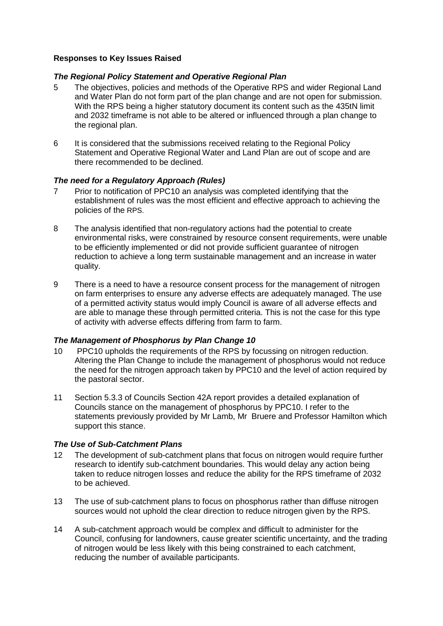# **Responses to Key Issues Raised**

# *The Regional Policy Statement and Operative Regional Plan*

- 5 The objectives, policies and methods of the Operative RPS and wider Regional Land and Water Plan do not form part of the plan change and are not open for submission. With the RPS being a higher statutory document its content such as the 435tN limit and 2032 timeframe is not able to be altered or influenced through a plan change to the regional plan.
- 6 It is considered that the submissions received relating to the Regional Policy Statement and Operative Regional Water and Land Plan are out of scope and are there recommended to be declined.

# *The need for a Regulatory Approach (Rules)*

- 7 Prior to notification of PPC10 an analysis was completed identifying that the establishment of rules was the most efficient and effective approach to achieving the policies of the RPS.
- 8 The analysis identified that non-regulatory actions had the potential to create environmental risks, were constrained by resource consent requirements, were unable to be efficiently implemented or did not provide sufficient guarantee of nitrogen reduction to achieve a long term sustainable management and an increase in water quality.
- 9 There is a need to have a resource consent process for the management of nitrogen on farm enterprises to ensure any adverse effects are adequately managed. The use of a permitted activity status would imply Council is aware of all adverse effects and are able to manage these through permitted criteria. This is not the case for this type of activity with adverse effects differing from farm to farm.

# *The Management of Phosphorus by Plan Change 10*

- 10 PPC10 upholds the requirements of the RPS by focussing on nitrogen reduction. Altering the Plan Change to include the management of phosphorus would not reduce the need for the nitrogen approach taken by PPC10 and the level of action required by the pastoral sector.
- 11 Section 5.3.3 of Councils Section 42A report provides a detailed explanation of Councils stance on the management of phosphorus by PPC10. I refer to the statements previously provided by Mr Lamb, Mr Bruere and Professor Hamilton which support this stance.

# *The Use of Sub-Catchment Plans*

- 12 The development of sub-catchment plans that focus on nitrogen would require further research to identify sub-catchment boundaries. This would delay any action being taken to reduce nitrogen losses and reduce the ability for the RPS timeframe of 2032 to be achieved.
- 13 The use of sub-catchment plans to focus on phosphorus rather than diffuse nitrogen sources would not uphold the clear direction to reduce nitrogen given by the RPS.
- 14 A sub-catchment approach would be complex and difficult to administer for the Council, confusing for landowners, cause greater scientific uncertainty, and the trading of nitrogen would be less likely with this being constrained to each catchment, reducing the number of available participants.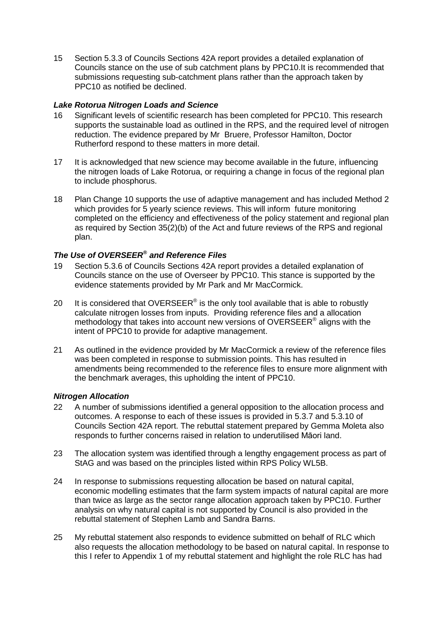15 Section 5.3.3 of Councils Sections 42A report provides a detailed explanation of Councils stance on the use of sub catchment plans by PPC10.It is recommended that submissions requesting sub-catchment plans rather than the approach taken by PPC10 as notified be declined.

# *Lake Rotorua Nitrogen Loads and Science*

- 16 Significant levels of scientific research has been completed for PPC10. This research supports the sustainable load as outlined in the RPS, and the required level of nitrogen reduction. The evidence prepared by Mr Bruere, Professor Hamilton, Doctor Rutherford respond to these matters in more detail.
- 17 It is acknowledged that new science may become available in the future, influencing the nitrogen loads of Lake Rotorua, or requiring a change in focus of the regional plan to include phosphorus.
- 18 Plan Change 10 supports the use of adaptive management and has included Method 2 which provides for 5 yearly science reviews. This will inform future monitoring completed on the efficiency and effectiveness of the policy statement and regional plan as required by Section 35(2)(b) of the Act and future reviews of the RPS and regional plan.

# *The Use of OVERSEER® and Reference Files*

- 19 Section 5.3.6 of Councils Sections 42A report provides a detailed explanation of Councils stance on the use of Overseer by PPC10. This stance is supported by the evidence statements provided by Mr Park and Mr MacCormick.
- 20 It is considered that OVERSEER<sup>®</sup> is the only tool available that is able to robustly calculate nitrogen losses from inputs. Providing reference files and a allocation methodology that takes into account new versions of OVERSEER® aligns with the intent of PPC10 to provide for adaptive management.
- 21 As outlined in the evidence provided by Mr MacCormick a review of the reference files was been completed in response to submission points. This has resulted in amendments being recommended to the reference files to ensure more alignment with the benchmark averages, this upholding the intent of PPC10.

# *Nitrogen Allocation*

- 22 A number of submissions identified a general opposition to the allocation process and outcomes. A response to each of these issues is provided in 5.3.7 and 5.3.10 of Councils Section 42A report. The rebuttal statement prepared by Gemma Moleta also responds to further concerns raised in relation to underutilised Māori land.
- 23 The allocation system was identified through a lengthy engagement process as part of StAG and was based on the principles listed within RPS Policy WL5B.
- 24 In response to submissions requesting allocation be based on natural capital, economic modelling estimates that the farm system impacts of natural capital are more than twice as large as the sector range allocation approach taken by PPC10. Further analysis on why natural capital is not supported by Council is also provided in the rebuttal statement of Stephen Lamb and Sandra Barns.
- 25 My rebuttal statement also responds to evidence submitted on behalf of RLC which also requests the allocation methodology to be based on natural capital. In response to this I refer to Appendix 1 of my rebuttal statement and highlight the role RLC has had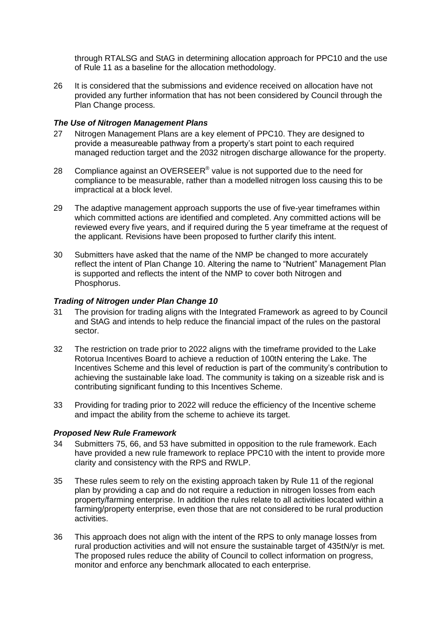through RTALSG and StAG in determining allocation approach for PPC10 and the use of Rule 11 as a baseline for the allocation methodology.

26 It is considered that the submissions and evidence received on allocation have not provided any further information that has not been considered by Council through the Plan Change process.

#### *The Use of Nitrogen Management Plans*

- 27 Nitrogen Management Plans are a key element of PPC10. They are designed to provide a measureable pathway from a property's start point to each required managed reduction target and the 2032 nitrogen discharge allowance for the property.
- 28 Compliance against an OVERSEER® value is not supported due to the need for compliance to be measurable, rather than a modelled nitrogen loss causing this to be impractical at a block level.
- 29 The adaptive management approach supports the use of five-year timeframes within which committed actions are identified and completed. Any committed actions will be reviewed every five years, and if required during the 5 year timeframe at the request of the applicant. Revisions have been proposed to further clarify this intent.
- 30 Submitters have asked that the name of the NMP be changed to more accurately reflect the intent of Plan Change 10. Altering the name to "Nutrient" Management Plan is supported and reflects the intent of the NMP to cover both Nitrogen and Phosphorus.

#### *Trading of Nitrogen under Plan Change 10*

- 31 The provision for trading aligns with the Integrated Framework as agreed to by Council and StAG and intends to help reduce the financial impact of the rules on the pastoral sector.
- 32 The restriction on trade prior to 2022 aligns with the timeframe provided to the Lake Rotorua Incentives Board to achieve a reduction of 100tN entering the Lake. The Incentives Scheme and this level of reduction is part of the community's contribution to achieving the sustainable lake load. The community is taking on a sizeable risk and is contributing significant funding to this Incentives Scheme.
- 33 Providing for trading prior to 2022 will reduce the efficiency of the Incentive scheme and impact the ability from the scheme to achieve its target.

#### *Proposed New Rule Framework*

- 34 Submitters 75, 66, and 53 have submitted in opposition to the rule framework. Each have provided a new rule framework to replace PPC10 with the intent to provide more clarity and consistency with the RPS and RWLP.
- 35 These rules seem to rely on the existing approach taken by Rule 11 of the regional plan by providing a cap and do not require a reduction in nitrogen losses from each property/farming enterprise. In addition the rules relate to all activities located within a farming/property enterprise, even those that are not considered to be rural production activities.
- 36 This approach does not align with the intent of the RPS to only manage losses from rural production activities and will not ensure the sustainable target of 435tN/yr is met. The proposed rules reduce the ability of Council to collect information on progress, monitor and enforce any benchmark allocated to each enterprise.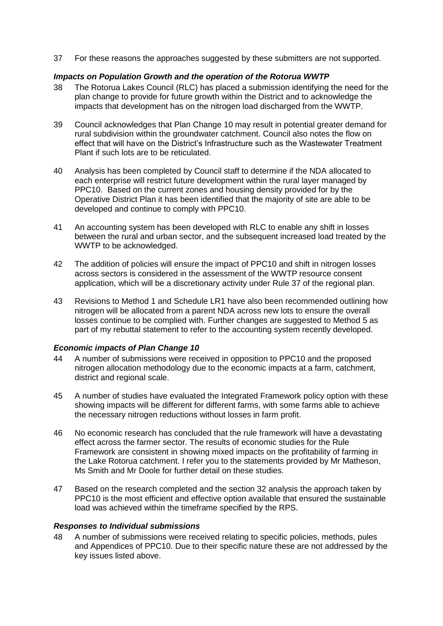37 For these reasons the approaches suggested by these submitters are not supported.

# *Impacts on Population Growth and the operation of the Rotorua WWTP*

- 38 The Rotorua Lakes Council (RLC) has placed a submission identifying the need for the plan change to provide for future growth within the District and to acknowledge the impacts that development has on the nitrogen load discharged from the WWTP.
- 39 Council acknowledges that Plan Change 10 may result in potential greater demand for rural subdivision within the groundwater catchment. Council also notes the flow on effect that will have on the District's Infrastructure such as the Wastewater Treatment Plant if such lots are to be reticulated.
- 40 Analysis has been completed by Council staff to determine if the NDA allocated to each enterprise will restrict future development within the rural layer managed by PPC10. Based on the current zones and housing density provided for by the Operative District Plan it has been identified that the majority of site are able to be developed and continue to comply with PPC10.
- 41 An accounting system has been developed with RLC to enable any shift in losses between the rural and urban sector, and the subsequent increased load treated by the WWTP to be acknowledged.
- 42 The addition of policies will ensure the impact of PPC10 and shift in nitrogen losses across sectors is considered in the assessment of the WWTP resource consent application, which will be a discretionary activity under Rule 37 of the regional plan.
- 43 Revisions to Method 1 and Schedule LR1 have also been recommended outlining how nitrogen will be allocated from a parent NDA across new lots to ensure the overall losses continue to be complied with. Further changes are suggested to Method 5 as part of my rebuttal statement to refer to the accounting system recently developed.

# *Economic impacts of Plan Change 10*

- 44 A number of submissions were received in opposition to PPC10 and the proposed nitrogen allocation methodology due to the economic impacts at a farm, catchment, district and regional scale.
- 45 A number of studies have evaluated the Integrated Framework policy option with these showing impacts will be different for different farms, with some farms able to achieve the necessary nitrogen reductions without losses in farm profit.
- 46 No economic research has concluded that the rule framework will have a devastating effect across the farmer sector. The results of economic studies for the Rule Framework are consistent in showing mixed impacts on the profitability of farming in the Lake Rotorua catchment. I refer you to the statements provided by Mr Matheson, Ms Smith and Mr Doole for further detail on these studies.
- 47 Based on the research completed and the section 32 analysis the approach taken by PPC10 is the most efficient and effective option available that ensured the sustainable load was achieved within the timeframe specified by the RPS.

#### *Responses to Individual submissions*

48 A number of submissions were received relating to specific policies, methods, pules and Appendices of PPC10. Due to their specific nature these are not addressed by the key issues listed above.